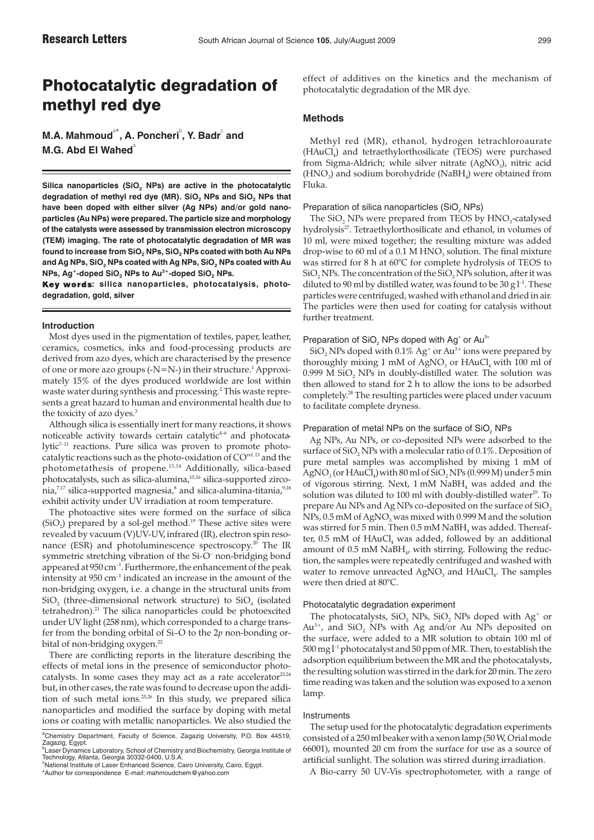# Photocatalytic degradation of methyl red dye

**M.A. Mahmoud** $^{\circ\star}$ **, A. Poncheri** $^{\circ}$ **, Y. Badr** $^{\circ}$  **and M.G. Abd El Wahed**<sup>®</sup>

Silica nanoparticles (SiO<sub>2</sub> NPs) are active in the photocatalytic degradation of methyl red dye (MR). SiO<sub>2</sub> NPs and SiO<sub>2</sub> NPs that **have been doped with either silver (Ag NPs) and/or gold nanoparticles (Au NPs) were prepared. The particle size and morphology of the catalysts were assessed by transmission electron microscopy (TEM) imaging. The rate of photocatalytic degradation of MR was found to increase from SiO2 NPs, SiO2 NPs coated with both Au NPs** and Ag NPs, SiO<sub>2</sub> NPs coated with Ag NPs, SiO<sub>2</sub> NPs coated with Au **NPs, Ag+-doped SiO2 NPs to Au3+-doped SiO2 NPs.**

Key words: silica nanoparticles, photocatalysis, photo**degradation, gold, silver**

### **Introduction**

Most dyes used in the pigmentation of textiles, paper, leather, ceramics, cosmetics, inks and food-processing products are derived from azo dyes, which are characterised by the presence of one or more azo groups  $(-N=N-)$  in their structure.<sup>1</sup> Approximately 15% of the dyes produced worldwide are lost within waste water during synthesis and processing.<sup>2</sup> This waste represents a great hazard to human and environmental health due to the toxicity of azo dyes.<sup>3</sup>

Although silica is essentially inert for many reactions, it shows noticeable activity towards certain catalytic<sup>4-6</sup> and photocatalytic<sup>7-11</sup> reactions. Pure silica was proven to promote photocatalytic reactions such as the photo-oxidation of COref. 13 and the photometathesis of propene.13,14 Additionally, silica-based photocatalysts, such as silica-alumina,15,16 silica-supported zirconia, $7.17$  silica-supported magnesia, $8$  and silica-alumina-titania, $9.18$ exhibit activity under UV irradiation at room temperature.

The photoactive sites were formed on the surface of silica (SiO<sub>2</sub>) prepared by a sol-gel method.<sup>19</sup> These active sites were revealed by vacuum (V)UV-UV, infrared (IR), electron spin resonance (ESR) and photoluminescence spectroscopy.<sup>20</sup> The IR symmetric stretching vibration of the Si-O<sup>-</sup> non-bridging bond appeared at  $950 \text{ cm}^{-1}$ . Furthermore, the enhancement of the peak intensity at  $950 \text{ cm}^{-1}$  indicated an increase in the amount of the non-bridging oxygen, i.e. a change in the structural units from  $SiO<sub>2</sub>$  (three-dimensional network structure) to  $SiO<sub>4</sub>$  (isolated tetrahedron).<sup>21</sup> The silica nanoparticles could be photoexcited under UV light (258 nm), which corresponded to a charge transfer from the bonding orbital of Si–O to the 2*p* non-bonding orbital of non-bridging oxygen.<sup>22</sup>

There are conflicting reports in the literature describing the effects of metal ions in the presence of semiconductor photocatalysts. In some cases they may act as a rate accelerator<sup>23,24</sup> but, in other cases, the rate was found to decrease upon the addition of such metal ions.25,26 In this study, we prepared silica nanoparticles and modified the surface by doping with metal ions or coating with metallic nanoparticles. We also studied the effect of additives on the kinetics and the mechanism of photocatalytic degradation of the MR dye.

# **Methods**

Methyl red (MR), ethanol, hydrogen tetrachloroaurate  $(HAuCl<sub>a</sub>)$  and tetraethylorthosilicate (TEOS) were purchased from Sigma-Aldrich; while silver nitrate (AgNO<sub>3</sub>), nitric acid  $(HNO<sub>3</sub>)$  and sodium borohydride (NaBH<sub>4</sub>) were obtained from Fluka.

### Preparation of silica nanoparticles (SiO<sub>2</sub> NPs)

The SiO<sub>2</sub> NPs were prepared from TEOS by HNO<sub>3</sub>-catalysed hydrolysis<sup>27</sup>. Tetraethylorthosilicate and ethanol, in volumes of 10 ml, were mixed together; the resulting mixture was added drop-wise to 60 ml of a 0.1 M  $HNO<sub>3</sub>$  solution. The final mixture was stirred for 8 h at 60°C for complete hydrolysis of TEOS to  $SiO<sub>2</sub>NPs$ . The concentration of the  $SiO<sub>2</sub>NPs$  solution, after it was diluted to 90 ml by distilled water, was found to be 30 g  $l^{-1}$ . These particles were centrifuged, washed with ethanol and dried in air. The particles were then used for coating for catalysis without further treatment.

# Preparation of  $\text{SiO}_2$  NPs doped with Ag<sup>+</sup> or Au<sup>3+</sup>

SiO<sub>2</sub> NPs doped with 0.1% Ag<sup>+</sup> or Au<sup>3+</sup> ions were prepared by thoroughly mixing 1 mM of AgNO<sub>3</sub> or HAuCl<sub>4</sub> with 100 ml of 0.999 M SiO<sub>2</sub> NPs in doubly-distilled water. The solution was then allowed to stand for 2 h to allow the ions to be adsorbed completely.<sup>28</sup> The resulting particles were placed under vacuum to facilitate complete dryness.

### Preparation of metal NPs on the surface of SiO<sub>2</sub> NPs

Ag NPs, Au NPs, or co-deposited NPs were adsorbed to the surface of SiO<sub>2</sub> NPs with a molecular ratio of 0.1%. Deposition of pure metal samples was accomplished by mixing 1 mM of  $AgNO<sub>3</sub>$  (or  $HAuCl<sub>4</sub>$ ) with 80 ml of SiO<sub>2</sub> NPs (0.999 M) under 5 min of vigorous stirring. Next,  $1 \text{ mM }$  NaBH<sub>4</sub> was added and the solution was diluted to 100 ml with doubly-distilled water<sup>29</sup>. To prepare Au NPs and Ag NPs co-deposited on the surface of  $SiO<sub>2</sub>$ NPs,  $0.5$  mM of AgNO<sub>3</sub> was mixed with 0.999 M and the solution was stirred for 5 min. Then  $0.5$  mM NaBH<sub>4</sub> was added. Thereafter,  $0.5$  mM of  $HAuCl<sub>4</sub>$  was added, followed by an additional amount of 0.5 mM  $N$ aBH<sub>4</sub>, with stirring. Following the reduction, the samples were repeatedly centrifuged and washed with water to remove unreacted  $AgNO<sub>3</sub>$  and  $HAuCl<sub>4</sub>$ . The samples were then dried at 80°C.

## Photocatalytic degradation experiment

The photocatalysts,  $SiO<sub>2</sub>$  NPs,  $SiO<sub>2</sub>$  NPs doped with Ag<sup>+</sup> or  $Au^{3+}$ , and SiO<sub>2</sub> NPs with Ag and/or Au NPs deposited on the surface, were added to a MR solution to obtain 100 ml of 500 mg l–1 photocatalyst and 50 ppm of MR. Then, to establish the adsorption equilibrium between the MR and the photocatalysts, the resulting solution was stirred in the dark for 20 min. The zero time reading was taken and the solution was exposed to a xenon lamp.

### Instruments

The setup used for the photocatalytic degradation experiments consisted of a 250 ml beaker with a xenon lamp (50 W, Orial mode 66001), mounted 20 cm from the surface for use as a source of artificial sunlight. The solution was stirred during irradiation.

A Bio-carry 50 UV-Vis spectrophotometer, with a range of

<sup>&</sup>lt;sup>a</sup>Chemistry Department, Faculty of Science, Zagazig University, P.O. Box 44519,<br>Zagazig, Egypt.<br><sup>5</sup>Laser Dynamics Laboratory, School of Chemistry and Biochemistry, Georgia Institute of<br>Technology, Atlanta, Georgia 30332-0

<sup>\*</sup>Author for correspondence E-mail: mahmoudchem@yahoo.com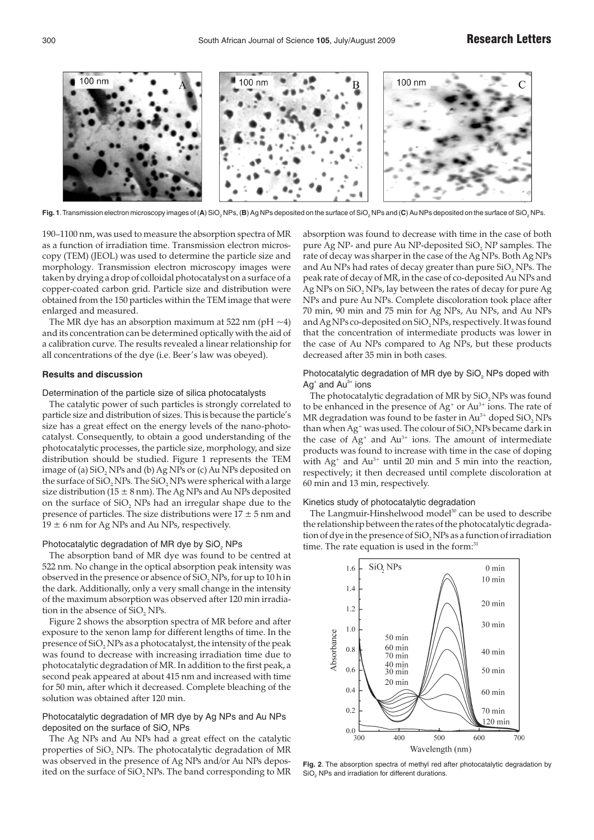

Fig. 1. Transmission electron microscopy images of (A) SiO<sub>2</sub> NPs, (B) Ag NPs deposited on the surface of SiO<sub>2</sub> NPs and (C) Au NPs deposited on the surface of SiO<sub>2</sub> NPs.

190–1100 nm, was used to measure the absorption spectra of MR as a function of irradiation time. Transmission electron microscopy (TEM) (JEOL) was used to determine the particle size and morphology. Transmission electron microscopy images were taken by drying a drop of colloidal photocatalyst on a surface of a copper-coated carbon grid. Particle size and distribution were obtained from the 150 particles within the TEM image that were enlarged and measured.

The MR dye has an absorption maximum at 522 nm (pH  $\sim$ 4) and its concentration can be determined optically with the aid of a calibration curve. The results revealed a linear relationship for all concentrations of the dye (i.e. Beer's law was obeyed).

### **Results and discussion**

Determination of the particle size of silica photocatalysts

The catalytic power of such particles is strongly correlated to particle size and distribution of sizes. This is because the particle's size has a great effect on the energy levels of the nano-photocatalyst. Consequently, to obtain a good understanding of the photocatalytic processes, the particle size, morphology, and size distribution should be studied. Figure 1 represents the TEM image of (a)  $SiO<sub>2</sub>$  NPs and (b) Ag NPs or (c) Au NPs deposited on the surface of  $SiO<sub>2</sub>$  NPs. The  $SiO<sub>2</sub>$  NPs were spherical with a large size distribution (15  $\pm$  8 nm). The Ag NPs and Au NPs deposited on the surface of  $SiO<sub>2</sub>$  NPs had an irregular shape due to the presence of particles. The size distributions were  $17 \pm 5$  nm and  $19 \pm 6$  nm for Ag NPs and Au NPs, respectively.

### Photocatalytic degradation of MR dye by SiO<sub>2</sub> NPs

The absorption band of MR dye was found to be centred at 522 nm. No change in the optical absorption peak intensity was observed in the presence or absence of  $SiO$ , NPs, for up to 10 h in the dark. Additionally, only a very small change in the intensity of the maximum absorption was observed after 120 min irradiation in the absence of SiO, NPs.

Figure 2 shows the absorption spectra of MR before and after exposure to the xenon lamp for different lengths of time. In the presence of SiO<sub>2</sub> NPs as a photocatalyst, the intensity of the peak was found to decrease with increasing irradiation time due to photocatalytic degradation of MR. In addition to the first peak, a second peak appeared at about 415 nm and increased with time for 50 min, after which it decreased. Complete bleaching of the solution was obtained after 120 min.

# Photocatalytic degradation of MR dye by Ag NPs and Au NPs deposited on the surface of SiO. NPs

The Ag NPs and Au NPs had a great effect on the catalytic properties of SiO<sub>2</sub> NPs. The photocatalytic degradation of MR was observed in the presence of Ag NPs and/or Au NPs deposited on the surface of SiO<sub>2</sub> NPs. The band corresponding to MR absorption was found to decrease with time in the case of both pure Ag NP- and pure Au NP-deposited  $SiO<sub>2</sub>$  NP samples. The rate of decay was sharper in the case of the Ag NPs. Both Ag NPs and Au NPs had rates of decay greater than pure  $SiO<sub>2</sub>$  NPs. The peak rate of decay of MR, in the case of co-deposited Au NPs and  $Ag$  NPs on SiO<sub>2</sub> NPs, lay between the rates of decay for pure Ag NPs and pure Au NPs. Complete discoloration took place after 70 min, 90 min and 75 min for Ag NPs, Au NPs, and Au NPs and Ag NPs co-deposited on SiO, NPs, respectively. It was found that the concentration of intermediate products was lower in the case of Au NPs compared to Ag NPs, but these products decreased after 35 min in both cases.

# Photocatalytic degradation of MR dye by SiO<sub>2</sub> NPs doped with  $Ag^*$  and  $Au^{3*}$  ions

The photocatalytic degradation of MR by  $SiO<sub>2</sub>NPs$  was found to be enhanced in the presence of  $Ag^*$  or  $Au^{3+}$  ions. The rate of MR degradation was found to be faster in Au<sup>3+</sup> doped SiO, NPs than when  $Ag^*$  was used. The colour of  $SiO<sub>2</sub>NPs$  became dark in the case of  $Ag^+$  and  $Au^{3+}$  ions. The amount of intermediate products was found to increase with time in the case of doping with  $Ag^+$  and  $Au^{3+}$  until 20 min and 5 min into the reaction, respectively; it then decreased until complete discoloration at 60 min and 13 min, respectively.

### Kinetics study of photocatalytic degradation

The Langmuir-Hinshelwood model<sup>30</sup> can be used to describe the relationship between the rates of the photocatalytic degradation of dye in the presence of  $SiO<sub>2</sub>NPs$  as a function of irradiation time. The rate equation is used in the form:<sup>31</sup>



**Fig. 2**. The absorption spectra of methyl red after photocatalytic degradation by SiO. NPs and irradiation for different durations.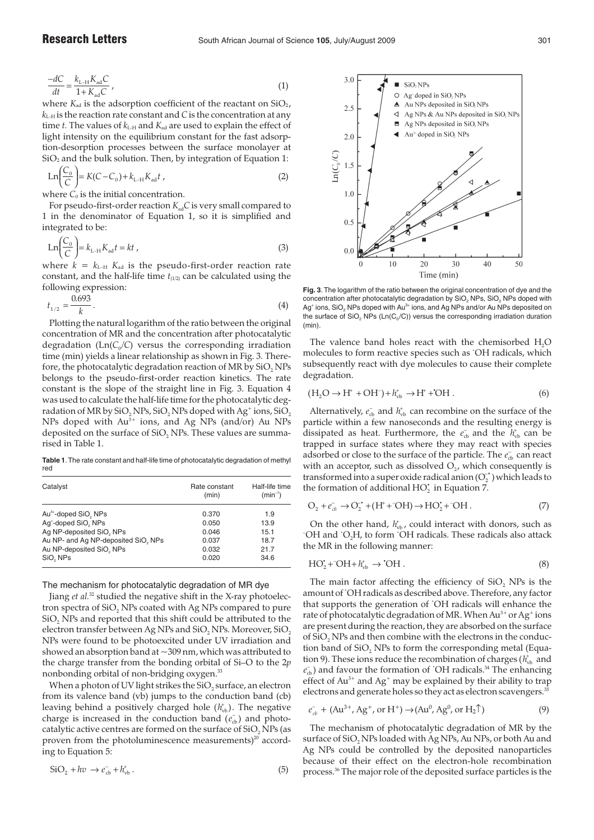$$
\frac{-dC}{dt} = \frac{k_{\text{L-H}} K_{\text{ad}} C}{1 + K_{\text{ad}} C} \,,\tag{1}
$$

where  $K_{ad}$  is the adsorption coefficient of the reactant on  $SiO<sub>2</sub>$ ,  $k_{L+H}$  is the reaction rate constant and *C* is the concentration at any time  $t$ . The values of  $k_{\text{L-H}}$  and  $K_{\text{ad}}$  are used to explain the effect of light intensity on the equilibrium constant for the fast adsorption-desorption processes between the surface monolayer at  $SiO<sub>2</sub>$  and the bulk solution. Then, by integration of Equation 1:

$$
Ln\left(\frac{C_0}{C}\right) = K(C - C_0) + k_{L-H}K_{ad}t \t\t(2)
$$

where  $C_0$  is the initial concentration.

For pseudo-first-order reaction  $K_{ad}C$  is very small compared to 1 in the denominator of Equation 1, so it is simplified and integrated to be:

$$
Ln\left(\frac{C_0}{C}\right) = k_{L-H}K_{ad}t = kt \t{,}
$$
\t(3)

where  $k = k_{L-H} K_{ad}$  is the pseudo-first-order reaction rate constant, and the half-life time  $t_{(1/2)}$  can be calculated using the following expression:

$$
t_{1/2} = \frac{0.693}{k} \,. \tag{4}
$$

Plotting the natural logarithm of the ratio between the original concentration of MR and the concentration after photocatalytic degradation ( $Ln(C_0/C)$  versus the corresponding irradiation time (min) yields a linear relationship as shown in Fig. 3. Therefore, the photocatalytic degradation reaction of MR by  $SiO<sub>2</sub>NPs$ belongs to the pseudo-first-order reaction kinetics. The rate constant is the slope of the straight line in Fig. 3. Equation 4 was used to calculate the half-life time for the photocatalytic degradation of MR by SiO<sub>2</sub> NPs, SiO<sub>2</sub> NPs doped with Ag<sup>+</sup> ions, SiO<sub>2</sub> NPs doped with  $Au^{3+}$  ions, and Ag NPs (and/or) Au NPs deposited on the surface of  $SiO<sub>2</sub>$  NPs. These values are summarised in Table 1.

**Table 1**.The rate constant and half-life time of photocatalytic degradation of methyl red

| Catalyst                                     | Rate constant<br>(min) | Half-life time<br>$(min^{-1})$ |
|----------------------------------------------|------------------------|--------------------------------|
| Au <sup>3+</sup> -doped SiO <sub>2</sub> NPs | 0.370                  | 1.9                            |
| Ag <sup>+</sup> -doped SiO <sub>2</sub> NPs  | 0.050                  | 13.9                           |
| Ag NP-deposited SiO, NPs                     | 0.046                  | 15.1                           |
| Au NP- and Ag NP-deposited SiO, NPs          | 0.037                  | 18.7                           |
| Au NP-deposited SiO, NPs                     | 0.032                  | 21.7                           |
| SiO, NPs                                     | 0.020                  | 34.6                           |

# The mechanism for photocatalytic degradation of MR dye

Jiang *et al.*<sup>32</sup> studied the negative shift in the X-ray photoelectron spectra of SiO<sub>2</sub> NPs coated with Ag NPs compared to pure SiO<sub>2</sub> NPs and reported that this shift could be attributed to the electron transfer between Ag NPs and SiO<sub>2</sub> NPs. Moreover, SiO<sub>2</sub> NPs were found to be photoexcited under UV irradiation and showed an absorption band at  $\sim$ 309 nm, which was attributed to the charge transfer from the bonding orbital of Si–O to the 2*p* nonbonding orbital of non-bridging oxygen.<sup>33</sup>

When a photon of UV light strikes the  $SiO<sub>2</sub>$  surface, an electron from its valence band (vb) jumps to the conduction band (cb) leaving behind a positively charged hole ( $h_{\text{vb}}^{\dagger}$ ). The negative charge is increased in the conduction band ( $e_{cb}^-$ ) and photocatalytic active centres are formed on the surface of SiO<sub>2</sub> NPs (as proven from the photoluminescence measurements)<sup>20</sup> according to Equation 5:

$$
SiO2 + hv \rightarrow ecb- + hvb+.
$$
 (5)



**Fig. 3**. The logarithm of the ratio between the original concentration of dye and the concentration after photocatalytic degradation by  $\text{SiO}_2$  NPs,  $\text{SiO}_2$  NPs doped with Ag<sup>+</sup> ions, SiO<sub>2</sub> NPs doped with Au<sup>3+</sup> ions, and Ag NPs and/or Au NPs deposited on the surface of SiO<sub>2</sub> NPs ( $Ln(C_0/C)$ ) versus the corresponding irradiation duration (min).

The valence band holes react with the chemisorbed H<sub>2</sub>O molecules to form reactive species such as · OH radicals, which subsequently react with dye molecules to cause their complete degradation.

$$
(\mathrm{H}_{2}\mathrm{O} \rightarrow \mathrm{H}^{+} + \mathrm{OH}^{-}) + h_{\mathrm{vb}}^{+} \rightarrow \mathrm{H}^{+} + {}^{*}\mathrm{OH} . \tag{6}
$$

Alternatively,  $e_{\rm cb}^-$  and  $h_{\rm vb}^+$  can recombine on the surface of the particle within a few nanoseconds and the resulting energy is dissipated as heat. Furthermore, the  $e_{cb}^-$  and the  $h_{vb}^+$  can be trapped in surface states where they may react with species adsorbed or close to the surface of the particle. The  $e_{\rm cb}^-$  can react with an acceptor, such as dissolved  $O<sub>2</sub>$ , which consequently is transformed into a super oxide radical anion  $(O_2^{\bullet})$  which leads to the formation of additional  $HO_2^*$  in Equation 7.

$$
\mathcal{O}_2 + e_{cb}^- \rightarrow \mathcal{O}_2^{\bullet} + (\mathcal{H}^+ + \mathcal{O}\mathcal{H}) \rightarrow \mathcal{HO}_2^{\bullet} + \mathcal{O}\mathcal{H} \,. \tag{7}
$$

On the other hand,  $h_{\rm vb}^*$ , could interact with donors, such as <sup>-</sup>OH and <sup>'</sup>O<sub>2</sub>H, to form 'OH radicals. These radicals also attack the MR in the following manner:

$$
HO_2^{\star} + \text{OH} + h_{\text{vb}}^{\star} \to \text{'OH} \,. \tag{8}
$$

The main factor affecting the efficiency of  $SiO<sub>2</sub>$  NPs is the amount of· OH radicals as described above. Therefore, any factor that supports the generation of · OH radicals will enhance the rate of photocatalytic degradation of MR. When  $Au^{3+}$  or  $Ag^+$  ions are present during the reaction, they are absorbed on the surface of  $SiO<sub>2</sub>$  NPs and then combine with the electrons in the conduction band of  $SiO<sub>2</sub>$  NPs to form the corresponding metal (Equation 9). These ions reduce the recombination of charges ( $h_{\text{vb}}^{+}$  and  $e_{cb}^-$ ) and favour the formation of `OH radicals.<sup>34</sup> The enhancing effect of  $Au^{3+}$  and  $Ag^+$  may be explained by their ability to trap electrons and generate holes so they act as electron scavengers.<sup>35</sup>

$$
e_{cb}^- + (\text{Au}^{3+}, \text{Ag}^+, \text{or H}^+) \rightarrow (\text{Au}^0, \text{Ag}^0, \text{or H}_2 \uparrow)
$$
 (9)

The mechanism of photocatalytic degradation of MR by the surface of SiO<sub>2</sub> NPs loaded with Ag NPs, Au NPs, or both Au and Ag NPs could be controlled by the deposited nanoparticles because of their effect on the electron-hole recombination process.36 The major role of the deposited surface particles is the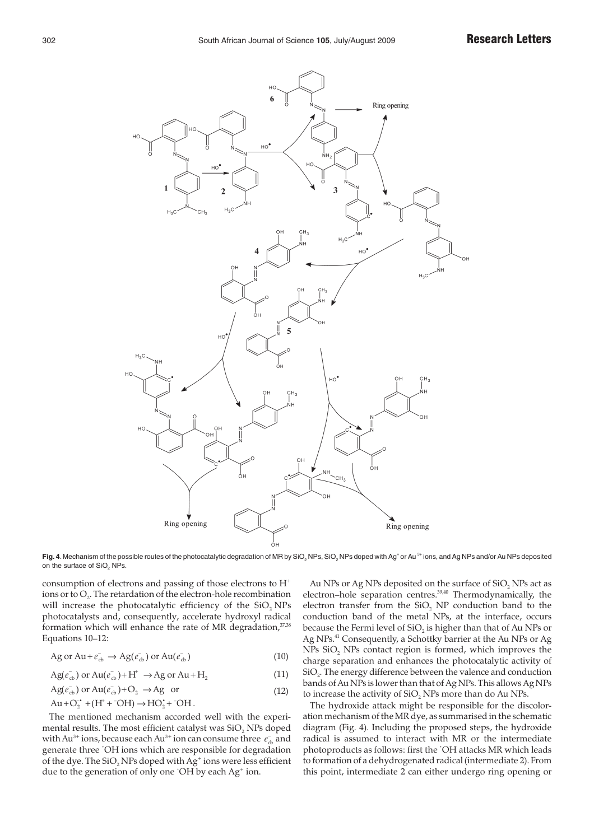

Fig. 4. Mechanism of the possible routes of the photocatalytic degradation of MR by SiO<sub>2</sub> NPs, SiO<sub>2</sub> NPs doped with Ag<sup>+</sup> or Au<sup>3+</sup> ions, and Ag NPs and/or Au NPs deposited on the surface of SiO<sub>2</sub> NPs.

consumption of electrons and passing of those electrons to H+ ions or to  $O<sub>2</sub>$ . The retardation of the electron-hole recombination will increase the photocatalytic efficiency of the SiO<sub>2</sub> NPs photocatalysts and, consequently, accelerate hydroxyl radical formation which will enhance the rate of MR degradation, $37,38$ Equations 10–12:

$$
\text{Ag or Au} + e_{cb}^{-} \rightarrow \text{Ag}(e_{cb}^{-}) \text{ or Au}(e_{cb}^{-})
$$
\n
$$
\tag{10}
$$

$$
Ag(e_{cb}^-) \text{ or } Au(e_{cb}^-)+H^+ \to Ag \text{ or } Au+H_2 \tag{11}
$$

$$
Ag(e_{cb}^-) \text{ or } Au(e_{cb}^-)+O_2 \rightarrow Ag \text{ or } (12)
$$

$$
Au + O_2^{\bullet} + (H^+ + ^\circ OH) \rightarrow HO_2^{\bullet} + ^\circ OH.
$$

The mentioned mechanism accorded well with the experimental results. The most efficient catalyst was  $SiO<sub>2</sub>$  NPs doped with Au<sup>3+</sup> ions, because each Au<sup>3+</sup> ion can consume three *e*<sub>∞</sub> and generate three · OH ions which are responsible for degradation of the dye. The  $SiO<sub>2</sub>NPs$  doped with  $Ag<sup>+</sup>$  ions were less efficient due to the generation of only one OH by each Ag<sup>+</sup> ion.

Au NPs or Ag NPs deposited on the surface of  $SiO<sub>2</sub>$  NPs act as electron–hole separation centres.<sup>39,40</sup> Thermodynamically, the electron transfer from the  $SiO<sub>2</sub>$  NP conduction band to the conduction band of the metal NPs, at the interface, occurs because the Fermi level of  $SiO<sub>2</sub>$  is higher than that of Au NPs or Ag NPs.<sup>41</sup> Consequently, a Schottky barrier at the Au NPs or Ag NPs  $SiO<sub>2</sub>$  NPs contact region is formed, which improves the charge separation and enhances the photocatalytic activity of SiO<sub>2</sub>. The energy difference between the valence and conduction bands of Au NPs is lower than that of Ag NPs. This allows Ag NPs to increase the activity of SiO, NPs more than do Au NPs.

The hydroxide attack might be responsible for the discoloration mechanism of the MR dye, as summarised in the schematic diagram (Fig. 4). Including the proposed steps, the hydroxide radical is assumed to interact with MR or the intermediate photoproducts as follows: first the · OH attacks MR which leads to formation of a dehydrogenated radical (intermediate 2). From this point, intermediate 2 can either undergo ring opening or